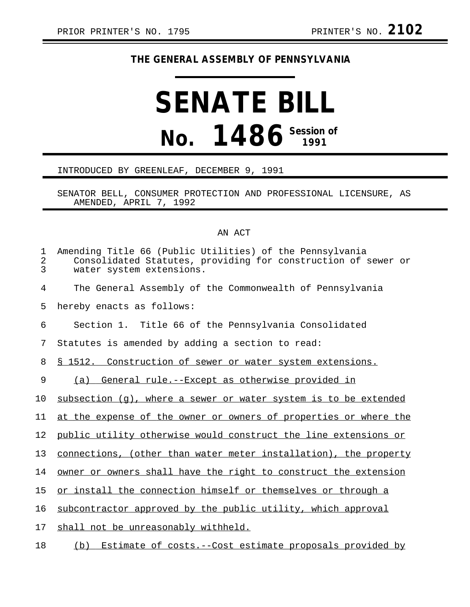## **THE GENERAL ASSEMBLY OF PENNSYLVANIA**

## **SENATE BILL No. 1486 Session of**

## INTRODUCED BY GREENLEAF, DECEMBER 9, 1991

SENATOR BELL, CONSUMER PROTECTION AND PROFESSIONAL LICENSURE, AS AMENDED, APRIL 7, 1992

## AN ACT

| $\mathbf 1$<br>2<br>3 | Amending Title 66 (Public Utilities) of the Pennsylvania<br>Consolidated Statutes, providing for construction of sewer or<br>water system extensions. |
|-----------------------|-------------------------------------------------------------------------------------------------------------------------------------------------------|
| 4                     | The General Assembly of the Commonwealth of Pennsylvania                                                                                              |
| 5                     | hereby enacts as follows:                                                                                                                             |
| 6                     | Section 1. Title 66 of the Pennsylvania Consolidated                                                                                                  |
| 7                     | Statutes is amended by adding a section to read:                                                                                                      |
| 8                     | <u>§ 1512. Construction of sewer or water system extensions.</u>                                                                                      |
| 9                     | (a) General rule.--Except as otherwise provided in                                                                                                    |
| 10                    | $subsection (q)$ , where a sewer or water system is to be extended                                                                                    |
| 11                    | at the expense of the owner or owners of properties or where the                                                                                      |
| 12                    | public utility otherwise would construct the line extensions or                                                                                       |
| 13                    | connections, (other than water meter installation), the property                                                                                      |
| 14                    | owner or owners shall have the right to construct the extension                                                                                       |
| 15                    | or install the connection himself or themselves or through a                                                                                          |
| 16                    | subcontractor approved by the public utility, which approval                                                                                          |
| 17                    | shall not be unreasonably withheld.                                                                                                                   |
| 18                    | Estimate of costs. -- Cost estimate proposals provided by<br>(b)                                                                                      |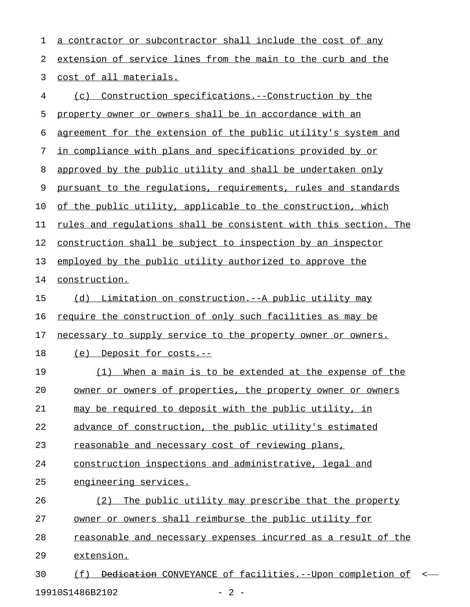| 2<br>3<br>4 | extension of service lines from the main to the curb and the<br>cost of all materials. |
|-------------|----------------------------------------------------------------------------------------|
|             |                                                                                        |
|             |                                                                                        |
|             | <u>Construction</u> specifications.--Construction by the<br>(c)                        |
| 5           | property owner or owners shall be in accordance with an                                |
| 6           | agreement for the extension of the public utility's system and                         |
| 7           | in compliance with plans and specifications provided by or                             |
| 8           | approved by the public utility and shall be undertaken only                            |
| 9           | pursuant to the regulations, requirements, rules and standards                         |
| 10          | of the public utility, applicable to the construction, which                           |
| 11          | rules and regulations shall be consistent with this section. The                       |
| 12          | construction shall be subject to inspection by an inspector                            |
| 13          | employed by the public utility authorized to approve the                               |
| 14          | construction.                                                                          |
| 15          | Limitation on construction. -- A public utility may<br>(d)                             |
| 16          | require the construction of only such facilities as may be                             |
| 17          | necessary to supply service to the property owner or owners.                           |
| 18          | (e) Deposit for costs.--                                                               |
| 19          | When a main is to be extended at the expense of the<br>(1)                             |
| 20          | owner or owners of properties, the property owner or owners                            |
| 21          | may be required to deposit with the public utility, in                                 |
| 22          | advance of construction, the public utility's estimated                                |
| 23          | reasonable and necessary cost of reviewing plans,                                      |
| 24          | construction inspections and administrative, legal and                                 |
| 25          | engineering services.                                                                  |
| 26          | The public utility may prescribe that the property<br>(2)                              |
| 27          | owner or owners shall reimburse the public utility for                                 |
| 28          | reasonable and necessary expenses incurred as a result of the                          |
| 29          | extension.                                                                             |
| 30          | (f) <del>Dedication</del> CONVEYANCE of facilities.--Upon completion of<br>$\prec$     |

19910S1486B2102 - 2 -